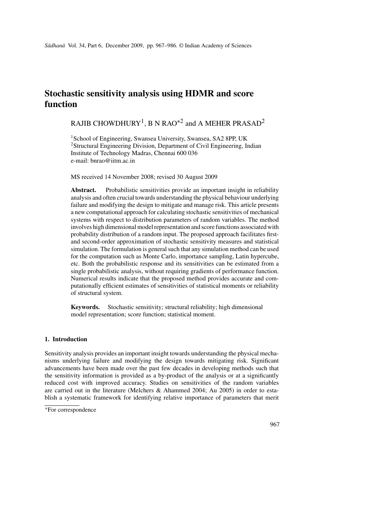# **Stochastic sensitivity analysis using HDMR and score function**

RAJIB CHOWDHURY<sup>1</sup>, B N RAO<sup>\*2</sup> and A MEHER PRASAD<sup>2</sup>

<sup>1</sup>School of Engineering, Swansea University, Swansea, SA2 8PP, UK <sup>2</sup>Structural Engineering Division, Department of Civil Engineering, Indian Institute of Technology Madras, Chennai 600 036 e-mail: bnrao@iitm.ac.in

MS received 14 November 2008; revised 30 August 2009

**Abstract.** Probabilistic sensitivities provide an important insight in reliability analysis and often crucial towards understanding the physical behaviour underlying failure and modifying the design to mitigate and manage risk. This article presents a new computational approach for calculating stochastic sensitivities of mechanical systems with respect to distribution parameters of random variables. The method involves high dimensional model representation and score functions associated with probability distribution of a random input. The proposed approach facilitates firstand second-order approximation of stochastic sensitivity measures and statistical simulation. The formulation is general such that any simulation method can be used for the computation such as Monte Carlo, importance sampling, Latin hypercube, etc. Both the probabilistic response and its sensitivities can be estimated from a single probabilistic analysis, without requiring gradients of performance function. Numerical results indicate that the proposed method provides accurate and computationally efficient estimates of sensitivities of statistical moments or reliability of structural system.

**Keywords.** Stochastic sensitivity; structural reliability; high dimensional model representation; score function; statistical moment.

# **1. Introduction**

Sensitivity analysis provides an important insight towards understanding the physical mechanisms underlying failure and modifying the design towards mitigating risk. Significant advancements have been made over the past few decades in developing methods such that the sensitivity information is provided as a by-product of the analysis or at a significantly reduced cost with improved accuracy. Studies on sensitivities of the random variables are carried out in the literature (Melchers & Ahammed 2004; Au 2005) in order to establish a systematic framework for identifying relative importance of parameters that merit

<sup>∗</sup>For correspondence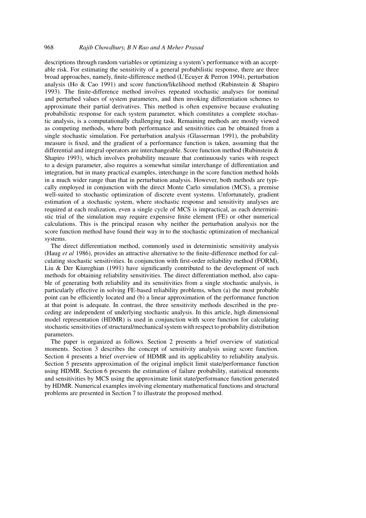descriptions through random variables or optimizing a system's performance with an acceptable risk. For estimating the sensitivity of a general probabilistic response, there are three broad approaches, namely, finite-difference method (L'Ecuyer & Perron 1994), perturbation analysis (Ho & Cao 1991) and score function/likelihood method (Rubinstein & Shapiro 1993). The finite-difference method involves repeated stochastic analyses for nominal and perturbed values of system parameters, and then invoking differentiation schemes to approximate their partial derivatives. This method is often expensive because evaluating probabilistic response for each system parameter, which constitutes a complete stochastic analysis, is a computationally challenging task. Remaining methods are mostly viewed as competing methods, where both performance and sensitivities can be obtained from a single stochastic simulation. For perturbation analysis (Glasserman 1991), the probability measure is fixed, and the gradient of a performance function is taken, assuming that the differential and integral operators are interchangeable. Score function method (Rubinstein & Shapiro 1993), which involves probability measure that continuously varies with respect to a design parameter, also requires a somewhat similar interchange of differentiation and integration, but in many practical examples, interchange in the score function method holds in a much wider range than that in perturbation analysis. However, both methods are typically employed in conjunction with the direct Monte Carlo simulation (MCS), a premise well-suited to stochastic optimization of discrete event systems. Unfortunately, gradient estimation of a stochastic system, where stochastic response and sensitivity analyses are required at each realization, even a single cycle of MCS is impractical, as each deterministic trial of the simulation may require expensive finite element (FE) or other numerical calculations. This is the principal reason why neither the perturbation analysis nor the score function method have found their way in to the stochastic optimization of mechanical systems.

The direct differentiation method, commonly used in deterministic sensitivity analysis (Haug *et al* 1986), provides an attractive alternative to the finite-difference method for calculating stochastic sensitivities. In conjunction with first-order reliability method (FORM), Liu & Der Kiureghian (1991) have significantly contributed to the development of such methods for obtaining reliability sensitivities. The direct differentiation method, also capable of generating both reliability and its sensitivities from a single stochastic analysis, is particularly effective in solving FE-based reliability problems, when (a) the most probable point can be efficiently located and (b) a linear approximation of the performance function at that point is adequate. In contrast, the three sensitivity methods described in the preceding are independent of underlying stochastic analysis. In this article, high dimensional model representation (HDMR) is used in conjunction with score function for calculating stochastic sensitivities of structural/mechanical system with respect to probability distribution parameters.

The paper is organized as follows. Section 2 presents a brief overview of statistical moments. Section 3 describes the concept of sensitivity analysis using score function. Section 4 presents a brief overview of HDMR and its applicability to reliability analysis. Section 5 presents approximation of the original implicit limit state/performance function using HDMR. Section 6 presents the estimation of failure probability, statistical moments and sensitivities by MCS using the approximate limit state/performance function generated by HDMR. Numerical examples involving elementary mathematical functions and structural problems are presented in Section 7 to illustrate the proposed method.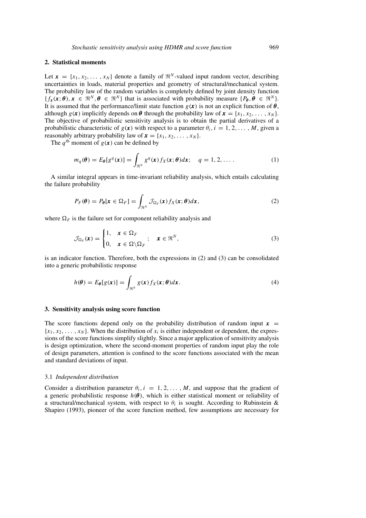## **2. Statistical moments**

Let  $\mathbf{x} = \{x_1, x_2, \dots, x_N\}$  denote a family of  $\mathbb{R}^N$ -valued input random vector, describing uncertainties in loads, material properties and geometry of structural/mechanical system. The probability law of the random variables is completely defined by joint density function  ${f_x(\mathbf{x}; \theta), \mathbf{x} \in \mathbb{R}^N, \theta \in \mathbb{R}^N}$  that is associated with probability measure  ${P_\theta, \theta \in \mathbb{R}^N}$ . It is assumed that the performance/limit state function  $g(x)$  is not an explicit function of  $\theta$ , although  $g(\mathbf{x})$  implicitly depends on  $\theta$  through the probability law of  $\mathbf{x} = \{x_1, x_2, \dots, x_N\}$ . The objective of probabilistic sensitivity analysis is to obtain the partial derivatives of a probabilistic characteristic of  $g(x)$  with respect to a parameter  $\theta_i$ ,  $i = 1, 2, \ldots, M$ , given a reasonably arbitrary probability law of  $\mathbf{x} = \{x_1, x_2, \dots, x_N\}.$ 

The  $q^{\text{th}}$  moment of  $g(x)$  can be defined by

$$
m_q(\boldsymbol{\theta}) = E_{\boldsymbol{\theta}}[g^q(\boldsymbol{x})] = \int_{\mathfrak{R}^N} g^q(\boldsymbol{x}) f_X(\boldsymbol{x}; \boldsymbol{\theta}) d\boldsymbol{x}; \quad q = 1, 2, \dots
$$
 (1)

A similar integral appears in time-invariant reliability analysis, which entails calculating the failure probability

$$
P_F(\boldsymbol{\theta}) = P_{\boldsymbol{\theta}}[\mathbf{x} \in \Omega_F] = \int_{\mathfrak{R}^N} \mathcal{J}_{\Omega_F}(\mathbf{x}) f_X(\mathbf{x}; \boldsymbol{\theta}) d\mathbf{x}, \qquad (2)
$$

where  $\Omega_F$  is the failure set for component reliability analysis and

$$
\mathcal{J}_{\Omega_F}(\boldsymbol{x}) = \begin{cases} 1, & \boldsymbol{x} \in \Omega_F \\ 0, & \boldsymbol{x} \in \Omega \backslash \Omega_F \end{cases}; \quad \boldsymbol{x} \in \mathfrak{R}^N,
$$
 (3)

is an indicator function. Therefore, both the expressions in (2) and (3) can be consolidated into a generic probabilistic response

$$
h(\boldsymbol{\theta}) = E_{\boldsymbol{\theta}}[g(\boldsymbol{x})] = \int_{\mathfrak{R}^N} g(\boldsymbol{x}) f_X(\boldsymbol{x}; \boldsymbol{\theta}) d\boldsymbol{x}.
$$
 (4)

## **3. Sensitivity analysis using score function**

The score functions depend only on the probability distribution of random input  $x =$  ${x_1, x_2, \ldots, x_N}$ . When the distribution of  $x_i$  is either independent or dependent, the expressions of the score functions simplify slightly. Since a major application of sensitivity analysis is design optimization, where the second-moment properties of random input play the role of design parameters, attention is confined to the score functions associated with the mean and standard deviations of input.

#### 3.1 *Independent distribution*

Consider a distribution parameter  $\theta_i$ ,  $i = 1, 2, \ldots, M$ , and suppose that the gradient of a generic probabilistic response  $h(\theta)$ , which is either statistical moment or reliability of a structural/mechanical system, with respect to  $\theta_i$  is sought. According to Rubinstein & Shapiro (1993), pioneer of the score function method, few assumptions are necessary for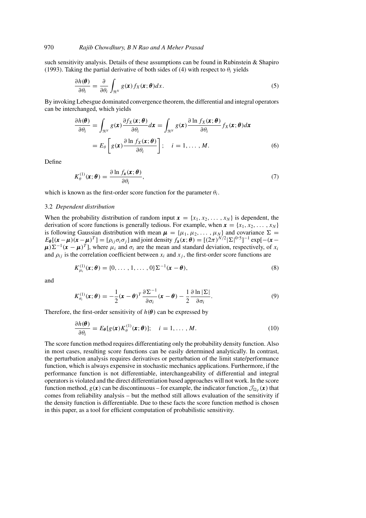## 970 *Rajib Chowdhury, B N Rao and A Meher Prasad*

such sensitivity analysis. Details of these assumptions can be found in Rubinstein  $\&$  Shapiro (1993). Taking the partial derivative of both sides of (4) with respect to  $\theta_i$  yields

$$
\frac{\partial h(\boldsymbol{\theta})}{\partial \theta_i} = \frac{\partial}{\partial \theta_i} \int_{\mathfrak{R}^N} g(\boldsymbol{x}) f_X(\boldsymbol{x}; \boldsymbol{\theta}) dx.
$$
 (5)

By invoking Lebesgue dominated convergence theorem, the differential and integral operators can be interchanged, which yields

$$
\frac{\partial h(\boldsymbol{\theta})}{\partial \theta_i} = \int_{\mathfrak{R}^N} g(\mathbf{x}) \frac{\partial f_X(\mathbf{x}; \boldsymbol{\theta})}{\partial \theta_i} d\mathbf{x} = \int_{\mathfrak{R}^N} g(\mathbf{x}) \frac{\partial \ln f_X(\mathbf{x}; \boldsymbol{\theta})}{\partial \theta_i} f_X(\mathbf{x}; \boldsymbol{\theta}) d\mathbf{x}
$$

$$
= E_{\theta} \left[ g(\mathbf{x}) \frac{\partial \ln f_X(\mathbf{x}; \boldsymbol{\theta})}{\partial \theta_i} \right]; \quad i = 1, ..., M. \tag{6}
$$

Define

$$
K_{\theta}^{(1)}(\mathbf{x};\boldsymbol{\theta}) = \frac{\partial \ln f_{\mathbf{x}}(\mathbf{x};\boldsymbol{\theta})}{\partial \theta_i},\tag{7}
$$

which is known as the first-order score function for the parameter  $\theta_i$ .

#### 3.2 *Dependent distribution*

When the probability distribution of random input  $\mathbf{x} = \{x_1, x_2, \dots, x_N\}$  is dependent, the derivation of score functions is generally tedious. For example, when  $\mathbf{x} = \{x_1, x_2, \dots, x_N\}$ is following Gaussian distribution with mean  $\mu = {\mu_1, \mu_2, ..., \mu_N}$  and covariance  $\Sigma =$  $E_{\theta}[(x-\mu)(x-\mu)^{T}] = [\rho_{ij}\sigma_{i}\sigma_{j}]$  and joint density  $f_{x}(x;\theta) = [(\partial \pi)^{N/2}|\Sigma|^{0.5}]^{-1}$  exp[−(x −  $\mu$ ) $\Sigma^{-1}(x - \mu)^T$ ], where  $\mu_i$  and  $\sigma_i$  are the mean and standard deviation, respectively, of  $x_i$ and  $\rho_{ij}$  is the correlation coefficient between  $x_i$  and  $x_j$ , the first-order score functions are

$$
K_{\mu_i}^{(1)}(\mathbf{x};\boldsymbol{\theta}) = \{0,\ldots,1,\ldots,0\}\Sigma^{-1}(\mathbf{x}-\boldsymbol{\theta}),
$$
\n(8)

and

$$
K_{\sigma_i}^{(1)}(\boldsymbol{x};\boldsymbol{\theta}) = -\frac{1}{2}(\boldsymbol{x}-\boldsymbol{\theta})^T \frac{\partial \Sigma^{-1}}{\partial \sigma_i}(\boldsymbol{x}-\boldsymbol{\theta}) - \frac{1}{2} \frac{\partial \ln |\Sigma|}{\partial \sigma_i}.
$$
 (9)

Therefore, the first-order sensitivity of  $h(\theta)$  can be expressed by

$$
\frac{\partial h(\boldsymbol{\theta})}{\partial \theta_i} = E_{\boldsymbol{\theta}}[g(\boldsymbol{x}) K_{\theta}^{(1)}(\boldsymbol{x}; \boldsymbol{\theta})]; \quad i = 1, \dots, M.
$$
 (10)

The score function method requires differentiating only the probability density function. Also in most cases, resulting score functions can be easily determined analytically. In contrast, the perturbation analysis requires derivatives or perturbation of the limit state/performance function, which is always expensive in stochastic mechanics applications. Furthermore, if the performance function is not differentiable, interchangeability of differential and integral operators is violated and the direct differentiation based approaches will not work. In the score function method,  $g(x)$  can be discontinuous – for example, the indicator function  $\mathcal{J}_{\Omega_F}(x)$  that comes from reliability analysis – but the method still allows evaluation of the sensitivity if the density function is differentiable. Due to these facts the score function method is chosen in this paper, as a tool for efficient computation of probabilistic sensitivity.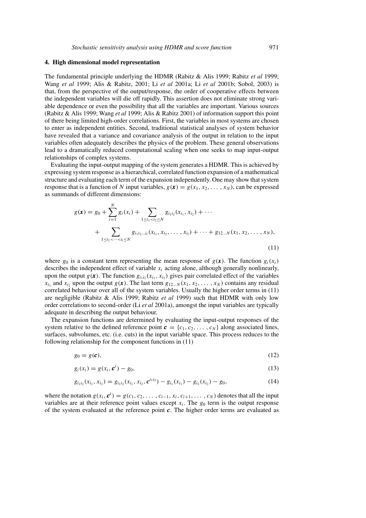#### **4. High dimensional model representation**

The fundamental principle underlying the HDMR (Rabitz & Alis 1999; Rabitz *et al* 1999; Wang *et al* 1999; Alis & Rabitz, 2001; Li *et al* 2001a; Li *et al* 2001b; Sobol, 2003) is that, from the perspective of the output/response, the order of cooperative effects between the independent variables will die off rapidly. This assertion does not eliminate strong variable dependence or even the possibility that all the variables are important. Various sources (Rabitz & Alis 1999; Wang *et al* 1999; Alis & Rabitz 2001) of information support this point of there being limited high-order correlations. First, the variables in most systems are chosen to enter as independent entities. Second, traditional statistical analyses of system behavior have revealed that a variance and covariance analysis of the output in relation to the input variables often adequately describes the physics of the problem. These general observations lead to a dramatically reduced computational scaling when one seeks to map input-output relationships of complex systems.

Evaluating the input-output mapping of the system generates a HDMR. This is achieved by expressing system response as a hierarchical, correlated function expansion of a mathematical structure and evaluating each term of the expansion independently. One may show that system response that is a function of *N* input variables,  $g(x) = g(x_1, x_2, \ldots, x_N)$ , can be expressed as summands of different dimensions:

$$
g(\mathbf{x}) = g_0 + \sum_{i=1}^N g_i(x_i) + \sum_{1 \le i_1 < i_2 \le N} g_{i_1 i_2}(x_{i_1}, x_{i_2}) + \cdots
$$
  
+ 
$$
\sum_{1 \le i_1 < \cdots < i_l \le N} g_{i_1 i_2 \ldots i_l}(x_{i_1}, x_{i_2}, \ldots, x_{i_l}) + \cdots + g_{12 \ldots N}(x_1, x_2, \ldots, x_N),
$$
  
(11)

where  $g_0$  is a constant term representing the mean response of  $g(\mathbf{x})$ . The function  $g_i(x_i)$ describes the independent effect of variable  $x_i$  acting alone, although generally nonlinearly, upon the output  $g(\mathbf{x})$ . The function  $g_{i_1i_2}(x_{i_1}, x_{i_2})$  gives pair correlated effect of the variables  $x_i$ <sub>1</sub> and  $x_i$ , upon the output  $g(x)$ . The last term  $g_{12...N}(x_1, x_2, \ldots, x_N)$  contains any residual correlated behaviour over all of the system variables. Usually the higher order terms in (11) are negligible (Rabitz & Alis 1999; Rabitz *et al* 1999) such that HDMR with only low order correlations to second-order (Li *et al* 2001a), amongst the input variables are typically adequate in describing the output behaviour.

The expansion functions are determined by evaluating the input-output responses of the system relative to the defined reference point  $\boldsymbol{c} = \{c_1, c_2, \dots, c_N\}$  along associated lines, surfaces, subvolumes, etc. (i.e. cuts) in the input variable space. This process reduces to the following relationship for the component functions in (11)

$$
g_0 = g(\mathbf{c}),\tag{12}
$$

$$
g_i(x_i) = g(x_i, \mathbf{c}^i) - g_0,\tag{13}
$$

$$
g_{i_1i_2}(x_{i_1}, x_{i_2}) = g_{i_1i_2}(x_{i_1}, x_{i_2}, \mathbf{c}^{i_1i_2}) - g_{i_1}(x_{i_1}) - g_{i_2}(x_{i_2}) - g_0,
$$
\n(14)

where the notation  $g(x_i, \mathbf{c}^i) = g(c_1, c_2, \ldots, c_{i-1}, x_i, c_{i+1}, \ldots, c_N)$  denotes that all the input variables are at their reference point values except  $x_i$ . The  $g_0$  term is the output response of the system evaluated at the reference point *c*. The higher order terms are evaluated as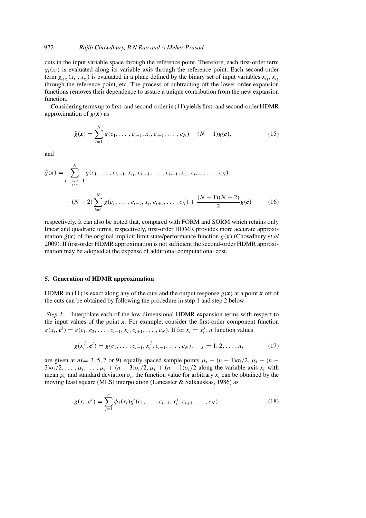cuts in the input variable space through the reference point. Therefore, each first-order term  $g_i(x_i)$  is evaluated along its variable axis through the reference point. Each second-order term  $g_{i_1i_2}(x_i, x_i)$  is evaluated in a plane defined by the binary set of input variables  $x_i, x_i$ through the reference point, etc. The process of subtracting off the lower order expansion functions removes their dependence to assure a unique contribution from the new expansion function.

Considering terms up to first- and second-order in (11) yields first- and second-order HDMR approximation of *g(x)* as

$$
\tilde{g}(\mathbf{x}) = \sum_{i=1}^{N} g(c_1, \dots, c_{i-1}, x_i, c_{i+1}, \dots, c_N) - (N-1)g(\mathbf{c}),
$$
\n(15)

and

$$
\tilde{g}(\mathbf{x}) = \sum_{i_1=1, i_2=1}^{N} g(c_1, \dots, c_{i_1-1}, x_{i_1}, c_{i_1+1}, \dots, c_{i_2-1}, x_{i_2}, c_{i_2+1}, \dots, c_N)
$$

$$
- (N-2) \sum_{i=1}^{N} g(c_1, \dots, c_{i-1}, x_i, c_{i+1}, \dots, c_N) + \frac{(N-1)(N-2)}{2} g(\mathbf{c}) \tag{16}
$$

respectively. It can also be noted that, compared with FORM and SORM which retains only linear and quadratic terms, respectively, first-order HDMR provides more accurate approximation  $\tilde{g}(x)$  of the original implicit limit state/performance function  $g(x)$  (Chowdhury *et al*) 2009). If first-order HDMR approximation is not sufficient the second-order HDMR approximation may be adopted at the expense of additional computational cost.

#### **5. Generation of HDMR approximation**

HDMR in (11) is exact along any of the cuts and the output response  $g(x)$  at a point x off of the cuts can be obtained by following the procedure in step 1 and step 2 below:

*Step 1:* Interpolate each of the low dimensional HDMR expansion terms with respect to the input values of the point  $x$ . For example, consider the first-order component function  $g(x_i, c^i) = g(c_1, c_2, \ldots, c_{i-1}, x_i, c_{i+1}, \ldots, c_N)$ . If for  $x_i = x_i^j$ , *n* function values

$$
g(x_i^j, \mathbf{c}^i) = g(c_1, \dots, c_{i-1}, x_i^j, c_{i+1}, \dots, c_N); \quad j = 1, 2, \dots, n,
$$
 (17)

are given at  $n(= 3, 5, 7 \text{ or } 9)$  equally spaced sample points  $\mu_i - (n-1)\sigma_i/2$ ,  $\mu_i - (n-1)\sigma_i/2$  $3\sigma_i/2, \ldots, \mu_i, \ldots, \mu_i + (n-3)\sigma_i/2, \mu_i + (n-1)\sigma_i/2$  along the variable axis  $x_i$  with mean  $\mu_i$  and standard deviation  $\sigma_i$ , the function value for arbitrary  $x_i$  can be obtained by the moving least square (MLS) interpolation (Lancaster & Salkauskas, 1986) as

$$
g(x_i, \mathbf{c}^i) = \sum_{j=1}^n \phi_j(x_i) g'(c_1, \dots, c_{i-1}, x_i^j, c_{i+1}, \dots, c_N),
$$
\n(18)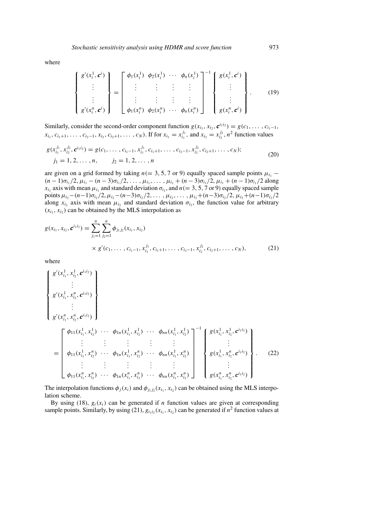where

$$
\begin{Bmatrix} g'(x_i^1, \mathbf{c}^i) \\ \vdots \\ g'(x_i^n, \mathbf{c}^i) \end{Bmatrix} = \begin{bmatrix} \phi_1(x_i^1) & \phi_2(x_i^1) & \cdots & \phi_n(x_i^1) \\ \vdots & \vdots & \vdots & \vdots \\ \phi_1(x_i^n) & \phi_2(x_i^n) & \cdots & \phi_n(x_i^n) \end{bmatrix}^{-1} \begin{Bmatrix} g(x_i^1, \mathbf{c}^i) \\ \vdots \\ g(x_i^n, \mathbf{c}^i) \end{Bmatrix} . \tag{19}
$$

Similarly, consider the second-order component function  $g(x_i, x_i, \mathbf{c}^{i_1 i_2}) = g(c_1, \ldots, c_{i_1-1},$  $x_{i_1}, c_{i_1+1}, \ldots, c_{i_2-1}, x_{i_2}, c_{i_2+1}, \ldots, c_N$ . If for  $x_{i_1} = x_{i_1}^{j_1}$ , and  $x_{i_2} = x_{i_2}^{j_2}$ ,  $n^2$  function values

$$
g(x_{i_1}^{j_1}, x_{i_2}^{j_2}, \mathbf{c}^{i_1 i_2}) = g(c_1, \dots, c_{i_1-1}, x_{i_1}^{j_1}, c_{i_1+1}, \dots, c_{i_2-1}, x_{i_2}^{j_2}, c_{i_2+1}, \dots, c_N);
$$
  
\n
$$
j_1 = 1, 2, \dots, n, \qquad j_2 = 1, 2, \dots, n
$$
\n(20)

are given on a grid formed by taking  $n(= 3, 5, 7 \text{ or } 9)$  equally spaced sample points  $\mu_{i_1}$  –  $(n-1)\sigma_{i_1}/2$ ,  $\mu_{i_1} - (n-3)\sigma_{i_1}/2$ , ...,  $\mu_{i_1}, \ldots, \mu_{i_1} + (n-3)\sigma_{i_1}/2$ ,  $\mu_{i_1} + (n-1)\sigma_{i_1}/2$  along *x*<sub>i1</sub> axis with mean  $\mu_{i_1}$  and standard deviation  $\sigma_{i_1}$ , and  $n (= 3, 5, 7 \text{ or } 9)$  equally spaced sample  $\frac{\pi}{2}$ *points* $\mu_{i_2} - (n-1)\sigma_{i_2}/2$ , $\mu_{i_2} - (n-3)\sigma_{i_2}/2$ ,..., $\mu_{i_2} + (n-3)\sigma_{i_2}/2$ , $\mu_{i_2} + (n-1)\sigma_{i_2}/2$ along  $x_{i_2}$  axis with mean  $\mu_{i_2}$  and standard deviation  $\sigma_{i_2}$ , the function value for arbitrary  $(x_{i_1}, x_{i_2})$  can be obtained by the MLS interpolation as

$$
g(x_{i_1}, x_{i_2}, \mathbf{c}^{i_1 i_2}) = \sum_{j_1=1}^n \sum_{j_2=1}^n \phi_{j_1 j_2}(x_{i_1}, x_{i_2})
$$
  
 
$$
\times g'(c_1, \dots, c_{i_1-1}, x_{i_1}^{j_1}, c_{i_1+1}, \dots, c_{i_2-1}, x_{i_2}^{j_2}, c_{i_2+1}, \dots, c_N),
$$
 (21)

where

$$
\begin{cases}\ng'(x_{i_1}^1, x_{i_2}^1, \mathbf{c}^{i_1 i_2}) \\
\vdots \\
g'(x_{i_1}^n, x_{i_2}^n, \mathbf{c}^{i_1 i_2})\n\end{cases}
$$
\n
$$
= \begin{bmatrix}\n\phi_{11}(x_{i_1}^1, x_{i_2}^1) & \cdots & \phi_{1n}(x_{i_1}^1, x_{i_2}^1) & \cdots & \phi_{nn}(x_{i_1}^1, x_{i_2}^1) \\
\vdots & \vdots & \vdots & \vdots \\
\phi_{11}(x_{i_1}^1, x_{i_2}^n) & \cdots & \phi_{1n}(x_{i_1}^1, x_{i_2}^n) & \cdots & \phi_{nn}(x_{i_1}^1, x_{i_2}^n)\n\end{bmatrix}^{-1} \begin{cases}\ng(x_{i_1}^1, x_{i_2}^1, \mathbf{c}^{i_1 i_2}) \\
\vdots & \vdots & \vdots \\
\ng(x_{i_1}^1, x_{i_2}^n, \mathbf{c}^{i_1 i_2}) \\
\vdots & \vdots & \vdots \\
\ng(x_{i_1}^1, x_{i_2}^n, \mathbf{c}^{i_1 i_2})\n\end{bmatrix} . \tag{22}
$$
\n
$$
\begin{cases}\ng(x_{i_1}^1, x_{i_2}^n, \mathbf{c}^{i_1 i_2}) \\
\ng(x_{i_1}^1, x_{i_2}^n, \mathbf{c}^{i_1 i_2}) \\
\vdots & \vdots \\
\ng(x_{i_1}^n, x_{i_2}^n, \mathbf{c}^{i_1 i_2})\n\end{cases} . \tag{22}
$$

The interpolation functions  $\phi_j(x_i)$  and  $\phi_{j_1j_2}(x_{i_1}, x_{i_2})$  can be obtained using the MLS interpolation scheme.

By using (18),  $g_i(x_i)$  can be generated if *n* function values are given at corresponding sample points. Similarly, by using (21),  $g_{i_1i_2}(x_{i_1}, x_{i_2})$  can be generated if  $n^2$  function values at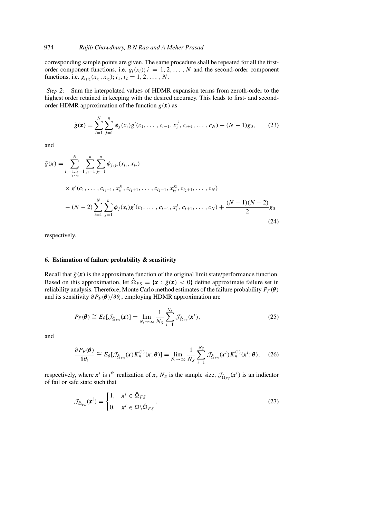corresponding sample points are given. The same procedure shall be repeated for all the firstorder component functions, i.e.  $g_i(x_i)$ ;  $i = 1, 2, \ldots, N$  and the second-order component functions, i.e.  $g_{i_1i_2}(x_{i_1}, x_{i_2})$ ;  $i_1, i_2 = 1, 2, ..., N$ .

*Step 2:* Sum the interpolated values of HDMR expansion terms from zeroth-order to the highest order retained in keeping with the desired accuracy. This leads to first- and secondorder HDMR approximation of the function  $g(x)$  as

$$
\tilde{g}(\boldsymbol{x}) = \sum_{i=1}^{N} \sum_{j=1}^{n} \phi_j(x_i) g'(c_1, \dots, c_{i-1}, x_i^j, c_{i+1}, \dots, c_N) - (N-1)g_0, \qquad (23)
$$

and

$$
\tilde{g}(\mathbf{x}) = \sum_{i_1=1, i_2=1}^{N} \sum_{j_1=1}^{n} \sum_{j_2=1}^{n} \phi_{j_1 j_2}(x_{i_1}, x_{i_2})
$$
\n
$$
\times g'(c_1, \dots, c_{i_1-1}, x_{i_1}^{j_1}, c_{i_1+1}, \dots, c_{i_2-1}, x_{i_2}^{j_2}, c_{i_2+1}, \dots, c_N)
$$
\n
$$
-(N-2) \sum_{i=1}^{N} \sum_{j=1}^{n} \phi_j(x_i) g'(c_1, \dots, c_{i-1}, x_i^j, c_{i+1}, \dots, c_N) + \frac{(N-1)(N-2)}{2} g_0
$$
\n(24)

respectively.

## **6. Estimation of failure probability & sensitivity**

Recall that  $\tilde{g}(x)$  is the approximate function of the original limit state/performance function. Based on this approximation, let  $\hat{\Omega}_{FS} = \{x : \tilde{g}(x) < 0\}$  define approximate failure set in reliability analysis. Therefore, Monte Carlo method estimates of the failure probability  $P_F(\theta)$ and its sensitivity  $\partial P_F(\theta)/\partial \theta_i$ , employing HDMR approximation are

$$
P_F(\boldsymbol{\theta}) \cong E_{\theta}[\mathcal{J}_{\hat{\Omega}_{FS}}(\boldsymbol{x})] = \lim_{N_s \to \infty} \frac{1}{N_S} \sum_{i=1}^{N_S} \mathcal{J}_{\hat{\Omega}_{FS}}(\boldsymbol{x}^i), \qquad (25)
$$

and

$$
\frac{\partial P_F(\boldsymbol{\theta})}{\partial \theta_i} \cong E_{\theta}[\mathcal{J}_{\hat{\Omega}_{FS}}(\boldsymbol{x}) K_{\theta}^{(1)}(\boldsymbol{x};\boldsymbol{\theta})] = \lim_{N_s \to \infty} \frac{1}{N_S} \sum_{i=1}^{N_S} \mathcal{J}_{\hat{\Omega}_{FS}}(\boldsymbol{x}^i) K_{\theta}^{(1)}(\boldsymbol{x}^i;\boldsymbol{\theta}), \quad (26)
$$

respectively, where  $x^i$  is  $i^{\text{th}}$  realization of  $x$ ,  $N_s$  is the sample size,  $\mathcal{J}_{\hat{\Omega}_{FS}}(x^i)$  is an indicator of fail or safe state such that

$$
\mathcal{J}_{\hat{\Omega}_{FS}}(\boldsymbol{x}^i) = \begin{cases} 1, & \boldsymbol{x}^i \in \hat{\Omega}_{FS} \\ 0, & \boldsymbol{x}^i \in \Omega \backslash \hat{\Omega}_{FS} \end{cases} . \tag{27}
$$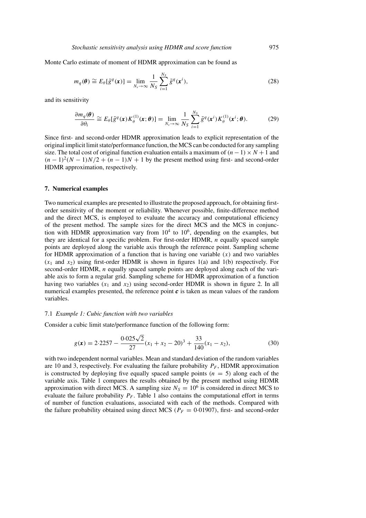Monte Carlo estimate of moment of HDMR approximation can be found as

$$
m_q(\boldsymbol{\theta}) \cong E_{\theta}[\tilde{g}^q(\boldsymbol{x})] = \lim_{N_s \to \infty} \frac{1}{N_s} \sum_{i=1}^{N_s} \tilde{g}^q(\boldsymbol{x}^i),
$$
\n(28)

and its sensitivity

$$
\frac{\partial m_q(\boldsymbol{\theta})}{\partial \theta_i} \cong E_{\theta}[\tilde{g}^q(\boldsymbol{x}) K_{\theta}^{(1)}(\boldsymbol{x};\boldsymbol{\theta})] = \lim_{N_s \to \infty} \frac{1}{N_s} \sum_{i=1}^{N_s} \tilde{g}^q(\boldsymbol{x}^i) K_{\theta}^{(1)}(\boldsymbol{x}^i;\boldsymbol{\theta}).
$$
 (29)

Since first- and second-order HDMR approximation leads to explicit representation of the original implicit limit state/performance function, the MCS can be conducted for any sampling size. The total cost of original function evaluation entails a maximum of  $(n-1) \times N + 1$  and  $(n-1)^2(N-1)N/2 + (n-1)N + 1$  by the present method using first- and second-order HDMR approximation, respectively.

## **7. Numerical examples**

Two numerical examples are presented to illustrate the proposed approach, for obtaining firstorder sensitivity of the moment or reliability. Whenever possible, finite-difference method and the direct MCS, is employed to evaluate the accuracy and computational efficiency of the present method. The sample sizes for the direct MCS and the MCS in conjunction with HDMR approximation vary from  $10^4$  to  $10^6$ , depending on the examples, but they are identical for a specific problem. For first-order HDMR, *n* equally spaced sample points are deployed along the variable axis through the reference point. Sampling scheme for HDMR approximation of a function that is having one variable *(x)* and two variables  $(x_1$  and  $x_2$ ) using first-order HDMR is shown in figures 1(a) and 1(b) respectively. For second-order HDMR, *n* equally spaced sample points are deployed along each of the variable axis to form a regular grid. Sampling scheme for HDMR approximation of a function having two variables  $(x_1 \text{ and } x_2)$  using second-order HDMR is shown in figure 2. In all numerical examples presented, the reference point *c* is taken as mean values of the random variables.

## 7.1 *Example 1: Cubic function with two variables*

Consider a cubic limit state/performance function of the following form:

$$
g(\mathbf{x}) = 2.2257 - \frac{0.025\sqrt{2}}{27}(x_1 + x_2 - 20)^3 + \frac{33}{140}(x_1 - x_2),
$$
\n(30)

with two independent normal variables. Mean and standard deviation of the random variables are 10 and 3, respectively. For evaluating the failure probability  $P_F$ , HDMR approximation is constructed by deploying five equally spaced sample points  $(n = 5)$  along each of the variable axis. Table 1 compares the results obtained by the present method using HDMR approximation with direct MCS. A sampling size  $N<sub>S</sub> = 10<sup>6</sup>$  is considered in direct MCS to evaluate the failure probability  $P_F$ . Table 1 also contains the computational effort in terms of number of function evaluations, associated with each of the methods. Compared with the failure probability obtained using direct MCS ( $P_F = 0.01907$ ), first- and second-order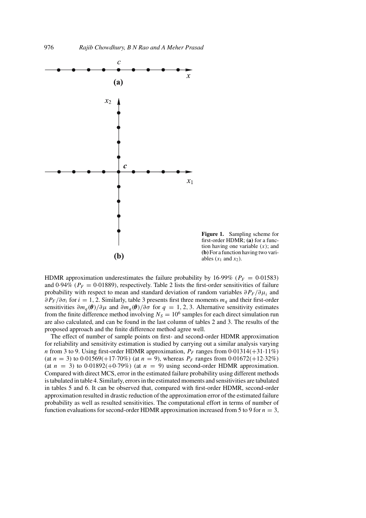

**Figure 1.** Sampling scheme for first-order HDMR; **(a)** for a function having one variable *(x)*; and **(b)** For a function having two variables  $(x_1$  and  $x_2$ ).

HDMR approximation underestimates the failure probability by  $16.99\%$  ( $P_F = 0.01583$ ) and 0.94% ( $P_F = 0.01889$ ), respectively. Table 2 lists the first-order sensitivities of failure probability with respect to mean and standard deviation of random variables  $\partial P_F / \partial \mu_i$  and  $\partial P_F / \partial \sigma_i$  for *i* = 1, 2. Similarly, table 3 presents first three moments  $m_q$  and their first-order sensitivities  $\partial m_q(\theta)/\partial \mu$  and  $\partial m_q(\theta)/\partial \sigma$  for  $q = 1, 2, 3$ . Alternative sensitivity estimates from the finite difference method involving  $N_s = 10^6$  samples for each direct simulation run are also calculated, and can be found in the last column of tables 2 and 3. The results of the proposed approach and the finite difference method agree well.

The effect of number of sample points on first- and second-order HDMR approximation for reliability and sensitivity estimation is studied by carrying out a similar analysis varying *n* from 3 to 9. Using first-order HDMR approximation,  $P_F$  ranges from 0.01314(+31.11%)  $(\text{at } n = 3)$  to  $0.01569(+17.70\%)$  (at  $n = 9$ ), whereas  $P_F$  ranges from  $0.01672(+12.32\%)$ (at  $n = 3$ ) to 0.01892(+0.79%) (at  $n = 9$ ) using second-order HDMR approximation. Compared with direct MCS, error in the estimated failure probability using different methods is tabulated in table 4. Similarly, errors in the estimated moments and sensitivities are tabulated in tables 5 and 6. It can be observed that, compared with first-order HDMR, second-order approximation resulted in drastic reduction of the approximation error of the estimated failure probability as well as resulted sensitivities. The computational effort in terms of number of function evaluations for second-order HDMR approximation increased from 5 to 9 for  $n = 3$ ,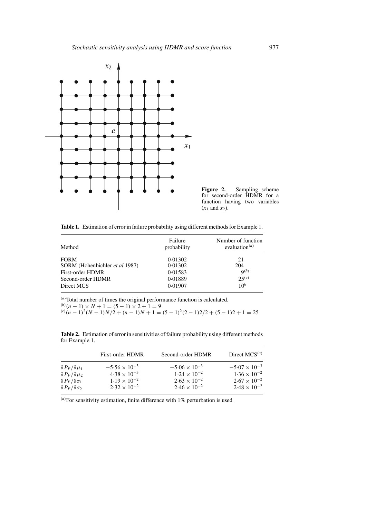

**Figure 2.** Sampling scheme for second-order HDMR for a function having two variables  $(x_1 \text{ and } x_2)$ .

| Method                         | Failure<br>probability | Number of function<br>evaluation <sup><math>(a)</math></sup> |
|--------------------------------|------------------------|--------------------------------------------------------------|
| <b>FORM</b>                    | 0.01302                | 21                                                           |
| SORM (Hohenbichler et al 1987) | 0.01302                | 204                                                          |
| First-order HDMR               | 0.01583                | q <sub>(b)</sub>                                             |
| Second-order HDMR              | 0.01889                | $25^{(c)}$                                                   |
| Direct MCS                     | 0.01907                | $10^{6}$                                                     |

*(a)*Total number of times the original performance function is calculated.

 $(b)(n-1) \times N + 1 = (5-1) \times 2 + 1 = 9$ 

*(c)(n* − 1*)*<sup>2</sup>*(N* − 1*)N/*2 + *(n* − 1*)N* + 1 = *(*5 − 1*)*<sup>2</sup>*(*2 − 1*)*2*/*2 + *(*5 − 1*)*2 + 1 = 25

**Table 2.** Estimation of error in sensitivities of failure probability using different methods for Example 1.

|                                    | First-order HDMR       | Second-order HDMR      | Direct $MCS^{(a)}$     |
|------------------------------------|------------------------|------------------------|------------------------|
| $\partial P_F/\partial \mu_1$      | $-5.56 \times 10^{-3}$ | $-5.06 \times 10^{-3}$ | $-5.07 \times 10^{-3}$ |
| $\partial P_F/\partial \mu_2$      | $4.38 \times 10^{-3}$  | $1.24 \times 10^{-2}$  | $1.36 \times 10^{-2}$  |
| $\partial P_F / \partial \sigma_1$ | $1.19 \times 10^{-2}$  | $2.63 \times 10^{-2}$  | $2.67 \times 10^{-2}$  |
| $\partial P_F/\partial \sigma_2$   | $2.32 \times 10^{-2}$  | $2.46 \times 10^{-2}$  | $2.48 \times 10^{-2}$  |

*(a)*For sensitivity estimation, finite difference with 1% perturbation is used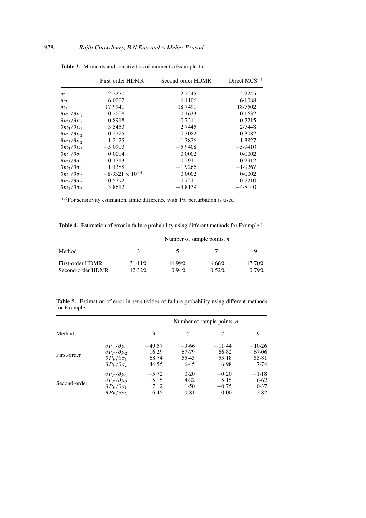|                                  | First-order HDMR         | Second-order HDMR | Direct $MCS^{(a)}$ |
|----------------------------------|--------------------------|-------------------|--------------------|
| m <sub>1</sub>                   | 2.2270                   | 2.2245            | 2.2245             |
| m <sub>2</sub>                   | 6.0002                   | 6.1106            | 6.1088             |
| $m_3$                            | 17.9941                  | 18.7491           | 18.7502            |
| $\partial m_1/\partial \mu_1$    | 0.2008                   | 0.1633            | 0.1632             |
| $\partial m_2/\partial \mu_1$    | 0.8918                   | 0.7211            | 0.7215             |
| $\partial m_3/\partial \mu_1$    | 3.5453                   | 2.7445            | 2.7448             |
| $\partial m_1/\partial \mu_2$    | $-0.2725$                | $-0.3082$         | $-0.3082$          |
| $\partial m_2/\partial \mu_2$    | $-1.2125$                | $-1.3826$         | $-1.3827$          |
| $\partial m_3/\partial \mu_2$    | $-5.0903$                | $-5.9408$         | $-5.9410$          |
| $\partial m_1/\partial \sigma_1$ | 0.0004                   | 0.0002            | 0.0002             |
| $\partial m_2/\partial \sigma_1$ | 0.1713                   | $-0.2911$         | $-0.2912$          |
| $\partial m_3/\partial \sigma_1$ | 1.1388                   | $-1.9266$         | $-1.9267$          |
| $\partial m_1/\partial \sigma_2$ | $-8.3321 \times 10^{-4}$ | 0.0002            | 0.0002             |
| $\partial m_2/\partial \sigma_2$ | 0.5792                   | $-0.7211$         | $-0.7210$          |
| $\partial m_3/\partial \sigma_2$ | 3.8612                   | $-4.8139$         | $-4.8140$          |

**Table 3.** Moments and sensitivities of moments (Example 1).

 $(a)$ For sensitivity estimation, finite difference with 1% perturbation is used

**Table 4.** Estimation of error in failure probability using different methods for Example 1.

| Method                                | Number of sample points, $n$ |                       |                       |                       |  |  |
|---------------------------------------|------------------------------|-----------------------|-----------------------|-----------------------|--|--|
|                                       |                              |                       |                       |                       |  |  |
| First-order HDMR<br>Second-order HDMR | $31.11\%$<br>$12.32\%$       | $16.99\%$<br>$0.94\%$ | $16.66\%$<br>$0.52\%$ | $17.70\%$<br>$0.79\%$ |  |  |

|                | <b>Table 5.</b> Estimation of error in sensitivities of failure probability using different methods |  |  |  |  |  |
|----------------|-----------------------------------------------------------------------------------------------------|--|--|--|--|--|
| for Example 1. |                                                                                                     |  |  |  |  |  |

|              |                                    |          |         | Number of sample points, $n$ |          |
|--------------|------------------------------------|----------|---------|------------------------------|----------|
| Method       |                                    | 3        | 5       |                              | 9        |
| First-order  | $\partial P_F/\partial \mu_1$      | $-49.57$ | $-9.66$ | $-11.44$                     | $-10.26$ |
|              | $\partial P_F/\partial \mu_2$      | 16.29    | 67.79   | 66.82                        | 67.06    |
|              | $\partial P_F / \partial \sigma_1$ | 68.74    | 55.43   | 55.18                        | 55.81    |
|              | $\partial P_F/\partial \sigma_2$   | 44.55    | 6.45    | 6.98                         | 7.74     |
| Second-order | $\partial P_F/\partial \mu_1$      | $-5.72$  | 0.20    | $-0.20$                      | $-1.18$  |
|              | $\partial P_F/\partial \mu_2$      | 15.15    | 8.82    | 5.15                         | 6.62     |
|              | $\partial P_F / \partial \sigma_1$ | 7.12     | 1.50    | $-0.75$                      | 0.37     |
|              | $\partial P_F/\partial \sigma_2$   | 6.45     | 0.81    | 0.00                         | 2.82     |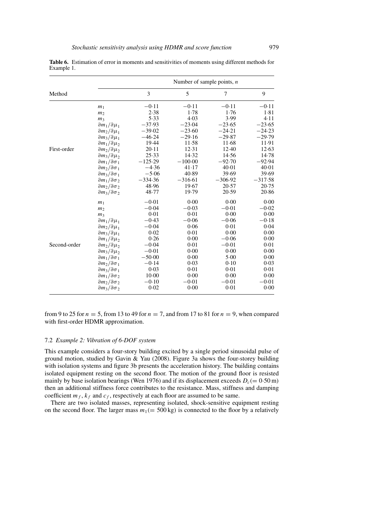|              |                                  | Number of sample points, $n$ |           |                |           |  |  |
|--------------|----------------------------------|------------------------------|-----------|----------------|-----------|--|--|
| Method       |                                  | 3                            | 5         | $\overline{7}$ | 9         |  |  |
|              | m <sub>1</sub>                   | $-0.11$                      | $-0.11$   | $-0.11$        | $-0.11$   |  |  |
|              | m <sub>2</sub>                   | 2.38                         | 1.78      | 1.76           | 1.81      |  |  |
|              | m <sub>3</sub>                   | 5.33                         | 4.03      | 3.99           | 4.11      |  |  |
|              | $\partial m_1/\partial \mu_1$    | $-37.93$                     | $-23.04$  | $-23.65$       | $-23.65$  |  |  |
|              | $\partial m_2/\partial \mu_1$    | $-39.02$                     | $-23.60$  | $-24.21$       | $-24.23$  |  |  |
|              | $\partial m_3/\partial \mu_1$    | $-46.24$                     | $-29.16$  | $-29.87$       | $-29.79$  |  |  |
|              | $\partial m_1/\partial \mu_2$    | 19.44                        | 11.58     | 11.68          | 11.91     |  |  |
| First-order  | $\partial m_2/\partial \mu_2$    | 20.11                        | 12.31     | $12-40$        | 12.63     |  |  |
|              | $\partial m_3/\partial \mu_2$    | 25.33                        | 14.32     | 14.56          | 14.78     |  |  |
|              | $\partial m_1/\partial \sigma_1$ | $-125.29$                    | $-100.00$ | $-92.70$       | $-92.94$  |  |  |
|              | $\partial m_2/\partial \sigma_1$ | $-4.36$                      | 41.17     | 40.01          | 40.01     |  |  |
|              | $\partial m_3/\partial \sigma_1$ | $-5.06$                      | 40.89     | 39.69          | 39.69     |  |  |
|              | $\partial m_1/\partial \sigma_2$ | $-334.36$                    | $-316.61$ | $-306.92$      | $-317.58$ |  |  |
|              | $\partial m_2/\partial \sigma_2$ | 48.96                        | 19.67     | 20.57          | 20.75     |  |  |
|              | $\partial m_3/\partial \sigma_2$ | 48.77                        | 19.79     | 20.59          | 20.86     |  |  |
|              | m <sub>1</sub>                   | $-0.01$                      | 0.00      | 0.00           | 0.00      |  |  |
|              | m <sub>2</sub>                   | $-0.04$                      | $-0.03$   | $-0.01$        | $-0.02$   |  |  |
|              | m <sub>3</sub>                   | 0.01                         | 0.01      | 0.00           | 0.00      |  |  |
|              | $\partial m_1/\partial \mu_1$    | $-0.43$                      | $-0.06$   | $-0.06$        | $-0.18$   |  |  |
|              | $\partial m_2/\partial \mu_1$    | $-0.04$                      | 0.06      | 0.01           | 0.04      |  |  |
|              | $\partial m_3/\partial \mu_1$    | 0.02                         | 0.01      | 0.00           | 0.00      |  |  |
|              | $\partial m_1/\partial \mu_2$    | 0.26                         | 0.00      | $-0.06$        | 0.00      |  |  |
| Second-order | $\partial m_2/\partial \mu_2$    | $-0.04$                      | 0.01      | $-0.01$        | 0.01      |  |  |
|              | $\partial m_3/\partial \mu_2$    | $-0.01$                      | 0.00      | 0.00           | 0.00      |  |  |
|              | $\partial m_1/\partial \sigma_1$ | $-50.00$                     | 0.00      | 5.00           | 0.00      |  |  |
|              | $\partial m_2/\partial \sigma_1$ | $-0.14$                      | 0.03      | 0.10           | 0.03      |  |  |
|              | $\partial m_3/\partial \sigma_1$ | 0.03                         | 0.01      | 0.01           | 0.01      |  |  |
|              | $\partial m_1/\partial \sigma_2$ | $10-00$                      | 0.00      | 0.00           | 0.00      |  |  |
|              | $\partial m_2/\partial \sigma_2$ | $-0.10$                      | $-0.01$   | $-0.01$        | $-0.01$   |  |  |
|              | $\partial m_3/\partial \sigma_2$ | 0.02                         | 0.00      | 0.01           | 0.00      |  |  |

**Table 6.** Estimation of error in moments and sensitivities of moments using different methods for Example 1.

from 9 to 25 for  $n = 5$ , from 13 to 49 for  $n = 7$ , and from 17 to 81 for  $n = 9$ , when compared with first-order HDMR approximation.

#### 7.2 *Example 2: Vibration of 6-DOF system*

This example considers a four-story building excited by a single period sinusoidal pulse of ground motion, studied by Gavin & Yau (2008). Figure 3a shows the four-storey building with isolation systems and figure 3b presents the acceleration history. The building contains isolated equipment resting on the second floor. The motion of the ground floor is resisted mainly by base isolation bearings (Wen 1976) and if its displacement exceeds  $D_c$  (= 0.50 m) then an additional stiffness force contributes to the resistance. Mass, stiffness and damping coefficient  $m_f$ ,  $k_f$  and  $c_f$ , respectively at each floor are assumed to be same.

There are two isolated masses, representing isolated, shock-sensitive equipment resting on the second floor. The larger mass  $m_1 (= 500 \text{ kg})$  is connected to the floor by a relatively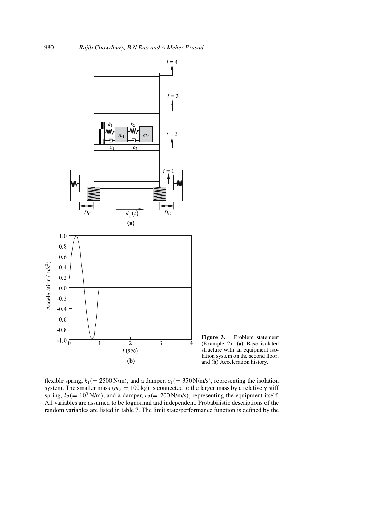

**Figure 3.** Problem statement (Example 2); **(a)** Base isolated structure with an equipment isolation system on the second floor; and **(b)** Acceleration history.

flexible spring,  $k_1$ (= 2500 N/m), and a damper,  $c_1$ (= 350 N/m/s), representing the isolation system. The smaller mass  $(m_2 = 100 \text{ kg})$  is connected to the larger mass by a relatively stiff spitch. The smaller mass  $\langle m_z^2 \rangle$  and  $\langle m_z^2 \rangle$  is completed to  $\langle m_z^2 \rangle$  in the equipment itself. All variables are assumed to be lognormal and independent. Probabilistic descriptions of the random variables are listed in table 7. The limit state/performance function is defined by the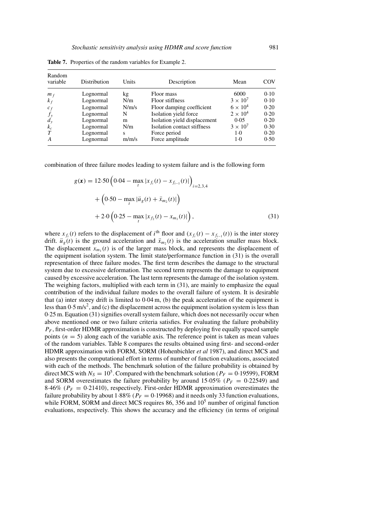| Random<br>variable | Distribution | Units | Description                  | Mean              | COV  |
|--------------------|--------------|-------|------------------------------|-------------------|------|
| $m_f$              | Lognormal    | kg    | Floor mass                   | 6000              | 0.10 |
| $k_f$              | Lognormal    | N/m   | Floor stiffness              | $3 \times 10^{7}$ | 0.10 |
| $c_f$              | Lognormal    | N/m/s | Floor damping coefficient    | $6 \times 10^4$   | 0.20 |
| $f_{y}$            | Lognormal    | N     | Isolation yield force        | $2 \times 10^4$   | 0.20 |
| $d_{v}$            | Lognormal    | m     | Isolation yield displacement | 0.05              | 0.20 |
| $k_c$              | Lognormal    | N/m   | Isolation contact stiffness  | $3 \times 10^{7}$ | 0.30 |
|                    | Lognormal    | S     | Force period                 | $1-0$             | 0.20 |
| A                  | Lognormal    | m/m/s | Force amplitude              | $1-0$             | 0.50 |

**Table 7.** Properties of the random variables for Example 2.

combination of three failure modes leading to system failure and is the following form

$$
g(\mathbf{x}) = 12.50 \left( 0.04 - \max_{t} |x_{f_i}(t) - x_{f_{i-1}}(t)| \right)_{i=2,3,4}
$$
  
+ 
$$
\left( 0.50 - \max_{t} |\ddot{u}_g(t) + \ddot{x}_{m_2}(t)| \right)
$$
  
+ 
$$
2.0 \left( 0.25 - \max_{t} |x_{f_2}(t) - x_{m_1}(t)| \right),
$$
 (31)

where  $x_{f_i}(t)$  refers to the displacement of  $i^{\text{th}}$  floor and  $(x_{f_i}(t) - x_{f_{i-1}}(t))$  is the inter storey drift.  $\ddot{u}_g(t)$  is the ground acceleration and  $\ddot{x}_{m_2}(t)$  is the acceleration smaller mass block. The displacement  $x_{m_1}(t)$  is of the larger mass block, and represents the displacement of the equipment isolation system. The limit state/performance function in (31) is the overall representation of three failure modes. The first term describes the damage to the structural system due to excessive deformation. The second term represents the damage to equipment caused by excessive acceleration. The last term represents the damage of the isolation system. The weighing factors, multiplied with each term in (31), are mainly to emphasize the equal contribution of the individual failure modes to the overall failure of system. It is desirable that (a) inter storey drift is limited to  $0.04$  m, (b) the peak acceleration of the equipment is less than  $0.5 \text{ m/s}^2$ , and (c) the displacement across the equipment isolation system is less than 0·25 m. Equation (31) signifies overall system failure, which does not necessarily occur when above mentioned one or two failure criteria satisfies. For evaluating the failure probability  $P_F$ , first-order HDMR approximation is constructed by deploying five equally spaced sample points  $(n = 5)$  along each of the variable axis. The reference point is taken as mean values of the random variables. Table 8 compares the results obtained using first- and second-order HDMR approximation with FORM, SORM (Hohenbichler *et al* 1987), and direct MCS and also presents the computational effort in terms of number of function evaluations, associated with each of the methods. The benchmark solution of the failure probability is obtained by direct MCS with  $N_S = 10^5$ . Compared with the benchmark solution  $(P_F = 0.19599)$ , FORM and SORM overestimates the failure probability by around  $15.05\%$  ( $P_F = 0.22549$ ) and 8.46%  $(P_F = 0.21410)$ , respectively. First-order HDMR approximation overestimates the failure probability by about  $1.88\%$  ( $P_F = 0.19968$ ) and it needs only 33 function evaluations, while FORM, SORM and direct MCS requires 86, 356 and  $10<sup>5</sup>$  number of original function evaluations, respectively. This shows the accuracy and the efficiency (in terms of original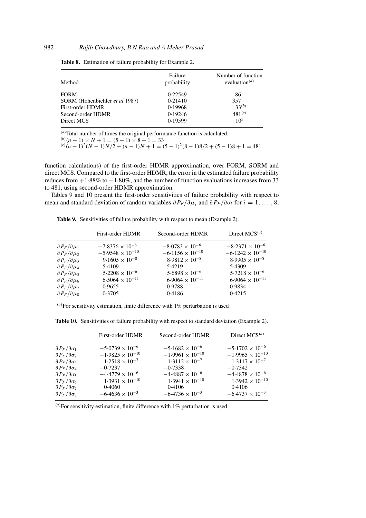| Method                                | Failure<br>probability | Number of function<br>evaluation <sup><math>(a)</math></sup> |
|---------------------------------------|------------------------|--------------------------------------------------------------|
| <b>FORM</b>                           | 0.22549                | 86                                                           |
| SORM (Hohenbichler <i>et al</i> 1987) | 0.21410                | 357                                                          |
| First-order HDMR                      | 0.19968                | $33^{(b)}$                                                   |
| Second-order HDMR                     | 0.19246                | $481^{(c)}$                                                  |
| Direct MCS                            | 0.19599                | 10 <sup>5</sup>                                              |

**Table 8.** Estimation of failure probability for Example 2.

*(a)*Total number of times the original performance function is calculated.

 $(b)(n-1) \times N + 1 = (5-1) \times 8 + 1 = 33$ 

*(c)(n* − 1*)*<sup>2</sup>*(N* − 1*)N/*2 + *(n* − 1*)N* + 1 = *(*5 − 1*)*<sup>2</sup>*(*8 − 1*)*8*/*2 + *(*5 − 1*)*8 + 1 = 481

function calculations) of the first-order HDMR approximation, over FORM, SORM and direct MCS. Compared to the first-order HDMR, the error in the estimated failure probability reduces from +1·88% to −1·80%, and the number of function evaluations increases from 33 to 481, using second-order HDMR approximation.

Tables 9 and 10 present the first-order sensitivities of failure probability with respect to mean and standard deviation of random variables  $\partial P_F / \partial \mu_i$  and  $\partial P_F / \partial \sigma_i$  for  $i = 1, \ldots, 8$ ,

|                                 | First-order HDMR          | Second-order HDMR         | Direct $MCS^{(a)}$        |
|---------------------------------|---------------------------|---------------------------|---------------------------|
| $\partial P_F / \partial \mu_1$ | $-7.8376 \times 10^{-6}$  | $-8.0783 \times 10^{-6}$  | $-8.2371 \times 10^{-6}$  |
| $\partial P_F/\partial \mu_2$   | $-5.9548 \times 10^{-10}$ | $-6.1156 \times 10^{-10}$ | $-6.1242 \times 10^{-10}$ |
| $\partial P_F/\partial \mu_3$   | $9.1605 \times 10^{-8}$   | $8.9812 \times 10^{-8}$   | $8.9905 \times 10^{-8}$   |
| $\partial P_F/\partial \mu_4$   | 5.4109                    | 5.4219                    | 5.4309                    |
| $\partial P_F/\partial \mu_5$   | $5.2208 \times 10^{-6}$   | $5.6898 \times 10^{-6}$   | $5.7218 \times 10^{-6}$   |
| $\partial P_F / \partial \mu_6$ | $6.5064 \times 10^{-11}$  | $6.9064 \times 10^{-11}$  | $6.9064 \times 10^{-11}$  |
| $\partial P_F / \partial \mu_7$ | 0.9655                    | 0.9788                    | 0.9834                    |
| $\partial P_F/\partial \mu_8$   | 0.3705                    | 0.4186                    | 0.4215                    |

**Table 9.** Sensitivities of failure probability with respect to mean (Example 2).

*(a)*For sensitivity estimation, finite difference with 1% perturbation is used

**Table 10.** Sensitivities of failure probability with respect to standard deviation (Example 2).

|                                    | First-order HDMR          | Second-order HDMR         | Direct $MCS^{(a)}$        |
|------------------------------------|---------------------------|---------------------------|---------------------------|
| $\partial P_F / \partial \sigma_1$ | $-5.0739 \times 10^{-6}$  | $-5.1682 \times 10^{-6}$  | $-5.1702 \times 10^{-6}$  |
| $\partial P_F/\partial \sigma_2$   | $-1.9825 \times 10^{-10}$ | $-1.9961 \times 10^{-10}$ | $-1.9965 \times 10^{-10}$ |
| $\partial P_F/\partial \sigma_3$   | $1.2518 \times 10^{-7}$   | $1.3112 \times 10^{-7}$   | $1.3117 \times 10^{-7}$   |
| $\partial P_F / \partial \sigma_4$ | $-0.7237$                 | $-0.7338$                 | $-0.7342$                 |
| $\partial P_F/\partial \sigma_5$   | $-4.4779 \times 10^{-6}$  | $-4.4887 \times 10^{-6}$  | $-4.4878 \times 10^{-6}$  |
| $\partial P_F/\partial \sigma_6$   | $1.3931 \times 10^{-10}$  | $1.3941 \times 10^{-10}$  | $1.3942 \times 10^{-10}$  |
| $\partial P_F/\partial \sigma_7$   | 0.4060                    | 0.4106                    | 0.4106                    |
| $\partial P_F/\partial \sigma_8$   | $-6.4636 \times 10^{-3}$  | $-6.4736 \times 10^{-3}$  | $-6.4737 \times 10^{-3}$  |
|                                    |                           |                           |                           |

*(a)*For sensitivity estimation, finite difference with 1% perturbation is used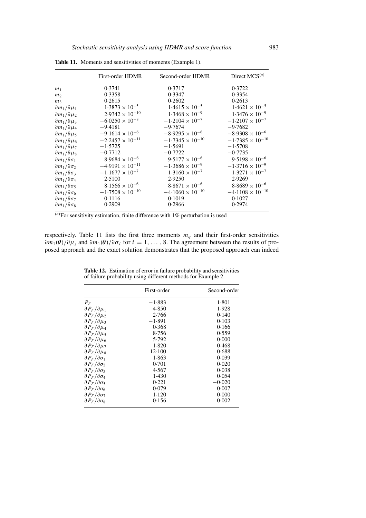|                                  | First-order HDMR          | Second-order HDMR         | Direct $MCS^{(a)}$        |
|----------------------------------|---------------------------|---------------------------|---------------------------|
| m <sub>1</sub>                   | 0.3741                    | 0.3717                    | 0.3722                    |
| m <sub>2</sub>                   | 0.3358                    | 0.3347                    | 0.3354                    |
| m <sub>3</sub>                   | 0.2615                    | 0.2602                    | 0.2613                    |
| $\partial m_1/\partial \mu_1$    | $1.3873 \times 10^{-5}$   | $1.4615 \times 10^{-5}$   | $1.4621 \times 10^{-5}$   |
| $\partial m_1/\partial \mu_2$    | $2.9342 \times 10^{-10}$  | $1.3468 \times 10^{-9}$   | $1.3476 \times 10^{-9}$   |
| $\partial m_1/\partial \mu_3$    | $-6.0250 \times 10^{-8}$  | $-1.2104 \times 10^{-7}$  | $-1.2107 \times 10^{-7}$  |
| $\partial m_1/\partial \mu_4$    | $-9.4181$                 | $-9.7674$                 | $-9.7682$                 |
| $\partial m_1/\partial \mu_5$    | $-9.1614 \times 10^{-6}$  | $-8.9295 \times 10^{-6}$  | $-8.9308 \times 10^{-6}$  |
| $\partial m_1/\partial \mu_6$    | $-2.2457 \times 10^{-11}$ | $-1.7345 \times 10^{-10}$ | $-1.7385 \times 10^{-10}$ |
| $\partial m_1/\partial \mu_7$    | $-1.5725$                 | $-1.5691$                 | $-1.5708$                 |
| $\partial m_1/\partial \mu_8$    | $-0.7712$                 | $-0.7722$                 | $-0.7735$                 |
| $\partial m_1/\partial \sigma_1$ | $8.9684 \times 10^{-6}$   | $9.5177 \times 10^{-6}$   | $9.5198 \times 10^{-6}$   |
| $\partial m_1/\partial \sigma_2$ | $-4.9191 \times 10^{-11}$ | $-1.3686 \times 10^{-9}$  | $-1.3716 \times 10^{-9}$  |
| $\partial m_1/\partial \sigma_3$ | $-1.1677 \times 10^{-7}$  | $1.3160 \times 10^{-7}$   | $1.3271 \times 10^{-7}$   |
| $\partial m_1/\partial \sigma_4$ | 2.5100                    | 2.9250                    | 2.9269                    |
| $\partial m_1/\partial \sigma_5$ | $8.1566 \times 10^{-6}$   | $8.8671 \times 10^{-6}$   | $8.8689 \times 10^{-6}$   |
| $\partial m_1/\partial \sigma_6$ | $-1.7508 \times 10^{-10}$ | $-4.1060 \times 10^{-10}$ | $-4.1108 \times 10^{-10}$ |
| $\partial m_1/\partial \sigma_7$ | 0.1116                    | 0.1019                    | 0.1027                    |
| $\partial m_1/\partial \sigma_8$ | 0.2909                    | 0.2966                    | 0.2974                    |

**Table 11.** Moments and sensitivities of moments (Example 1).

*(a)*For sensitivity estimation, finite difference with 1% perturbation is used

respectively. Table 11 lists the first three moments  $m_q$  and their first-order sensitivities  $\partial m_1(\theta)/\partial \mu_i$  and  $\partial m_1(\theta)/\partial \sigma_i$  for  $i = 1, \ldots, 8$ . The agreement between the results of proposed approach and the exact solution demonstrates that the proposed approach can indeed

|                                    | First-order | Second-order |
|------------------------------------|-------------|--------------|
| $P_F$                              | $-1.883$    | 1.801        |
| $\partial P_F/\partial \mu_1$      | 4.850       | 1.928        |
| $\partial P_F/\partial \mu_2$      | 2.766       | 0.140        |
| $\partial P_F/\partial \mu_3$      | $-1.891$    | 0.103        |
| $\partial P_F/\partial \mu_4$      | 0.368       | 0.166        |
| $\partial P_F/\partial \mu_5$      | 8.756       | 0.559        |
| $\partial P_F/\partial \mu_6$      | 5.792       | 0.000        |
| $\partial P_F / \partial \mu_7$    | 1.820       | 0.468        |
| $\partial P_F/\partial \mu_8$      | 12.100      | 0.688        |
| $\partial P_F / \partial \sigma_1$ | 1.863       | 0.039        |
| $\partial P_F/\partial \sigma_2$   | 0.701       | 0.020        |
| $\partial P_F/\partial \sigma_3$   | 4.567       | 0.038        |
| $\partial P_F / \partial \sigma_4$ | 1.430       | 0.054        |
| $\partial P_F/\partial \sigma_5$   | 0.221       | $-0.020$     |
| $\partial P_F/\partial \sigma_6$   | 0.079       | 0.007        |
| $\partial P_F/\partial \sigma_7$   | 1.120       | 0.000        |
| $\partial P_F/\partial \sigma_8$   | 0.156       | 0.002        |

**Table 12.** Estimation of error in failure probability and sensitivities of failure probability using different methods for Example 2.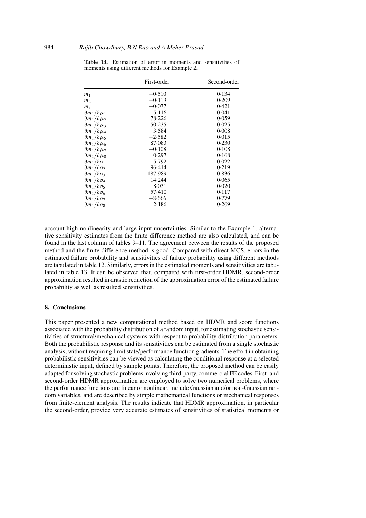|                                  | First-order | Second-order |
|----------------------------------|-------------|--------------|
| m <sub>1</sub>                   | $-0.510$    | 0.134        |
| m <sub>2</sub>                   | $-0.119$    | 0.209        |
| $m_3$                            | $-0.077$    | 0.421        |
| $\partial m_1/\partial \mu_1$    | 5.116       | 0.041        |
| $\partial m_1/\partial \mu_2$    | 78.226      | 0.059        |
| $\partial m_1/\partial \mu_3$    | 50.235      | 0.025        |
| $\partial m_1/\partial \mu_4$    | 3.584       | 0.008        |
| $\partial m_1/\partial \mu_5$    | $-2.582$    | 0.015        |
| $\partial m_1/\partial \mu_6$    | 87.083      | 0.230        |
| $\partial m_1/\partial \mu_7$    | $-0.108$    | 0.108        |
| $\partial m_1/\partial \mu_8$    | 0.297       | 0.168        |
| $\partial m_1/\partial \sigma_1$ | 5.792       | 0.022        |
| $\partial m_1/\partial \sigma_2$ | 96.414      | 0.219        |
| $\partial m_1/\partial \sigma_3$ | 187.989     | 0.836        |
| $\partial m_1/\partial \sigma_4$ | 14.244      | 0.065        |
| $\partial m_1/\partial \sigma_5$ | 8.031       | 0.020        |
| $\partial m_1/\partial \sigma_6$ | 57.410      | 0.117        |
| $\partial m_1/\partial \sigma_7$ | $-8.666$    | 0.779        |
| $\partial m_1/\partial \sigma_8$ | 2.186       | 0.269        |

**Table 13.** Estimation of error in moments and sensitivities of moments using different methods for Example 2.

account high nonlinearity and large input uncertainties. Similar to the Example 1, alternative sensitivity estimates from the finite difference method are also calculated, and can be found in the last column of tables 9–11. The agreement between the results of the proposed method and the finite difference method is good. Compared with direct MCS, errors in the estimated failure probability and sensitivities of failure probability using different methods are tabulated in table 12. Similarly, errors in the estimated moments and sensitivities are tabulated in table 13. It can be observed that, compared with first-order HDMR, second-order approximation resulted in drastic reduction of the approximation error of the estimated failure probability as well as resulted sensitivities.

#### **8. Conclusions**

This paper presented a new computational method based on HDMR and score functions associated with the probability distribution of a random input, for estimating stochastic sensitivities of structural/mechanical systems with respect to probability distribution parameters. Both the probabilistic response and its sensitivities can be estimated from a single stochastic analysis, without requiring limit state/performance function gradients. The effort in obtaining probabilistic sensitivities can be viewed as calculating the conditional response at a selected deterministic input, defined by sample points. Therefore, the proposed method can be easily adapted for solving stochastic problems involving third-party, commercial FE codes. First- and second-order HDMR approximation are employed to solve two numerical problems, where the performance functions are linear or nonlinear, include Gaussian and/or non-Gaussian random variables, and are described by simple mathematical functions or mechanical responses from finite-element analysis. The results indicate that HDMR approximation, in particular the second-order, provide very accurate estimates of sensitivities of statistical moments or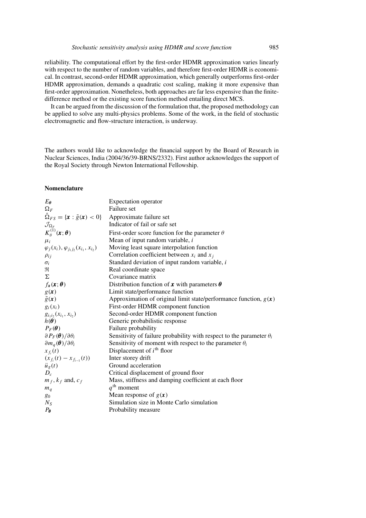reliability. The computational effort by the first-order HDMR approximation varies linearly with respect to the number of random variables, and therefore first-order HDMR is economical. In contrast, second-order HDMR approximation, which generally outperforms first-order HDMR approximation, demands a quadratic cost scaling, making it more expensive than first-order approximation. Nonetheless, both approaches are far less expensive than the finitedifference method or the existing score function method entailing direct MCS.

It can be argued from the discussion of the formulation that, the proposed methodology can be applied to solve any multi-physics problems. Some of the work, in the field of stochastic electromagnetic and flow-structure interaction, is underway.

The authors would like to acknowledge the financial support by the Board of Research in Nuclear Sciences, India (2004/36/39-BRNS/2332). First author acknowledges the support of the Royal Society through Newton International Fellowship.

## **Nomenclature**

| $E_{\theta}$                                                   | <b>Expectation operator</b>                                                 |
|----------------------------------------------------------------|-----------------------------------------------------------------------------|
| $\Omega_F$                                                     | Failure set                                                                 |
| $\hat{\Omega}_{FS} = {\mathbf{x} : \tilde{g}(\mathbf{x}) < 0}$ | Approximate failure set                                                     |
| $\mathcal{J}_{\Omega_F}$                                       | Indicator of fail or safe set                                               |
| $K^{(1)}_{\theta}(\boldsymbol{x};\boldsymbol{\theta})$         | First-order score function for the parameter $\theta$                       |
| $\mu_i$                                                        | Mean of input random variable, i                                            |
| $\varphi_i(x_i), \varphi_{i_1 i_2}(x_{i_1}, x_{i_2})$          | Moving least square interpolation function                                  |
| $\rho_{ij}$                                                    | Correlation coefficient between $x_i$ and $x_j$                             |
| $\sigma_i$                                                     | Standard deviation of input random variable, i                              |
| $\mathfrak{R}$                                                 | Real coordinate space                                                       |
| Σ                                                              | Covariance matrix                                                           |
| $f_{\mathbf{x}}(\mathbf{x};\boldsymbol{\theta})$               | Distribution function of x with parameters $\theta$                         |
| $g(\mathbf{x})$                                                | Limit state/performance function                                            |
| $\tilde{g}(\boldsymbol{x})$                                    | Approximation of original limit state/performance function, $g(\mathbf{x})$ |
| $g_i(x_i)$                                                     | First-order HDMR component function                                         |
| $g_{i_1i_2}(x_{i_1}, x_{i_2})$                                 | Second-order HDMR component function                                        |
| $h(\boldsymbol{\theta})$                                       | Generic probabilistic response                                              |
| $P_F(\boldsymbol{\theta})$                                     | Failure probability                                                         |
| $\partial P_F(\boldsymbol{\theta})/\partial \theta_i$          | Sensitivity of failure probability with respect to the parameter $\theta_i$ |
| $\partial m_q(\boldsymbol{\theta})/\partial \theta_i$          | Sensitivity of moment with respect to the parameter $\theta_i$              |
| $x_{f_i}(t)$                                                   | Displacement of $i^{\text{th}}$ floor                                       |
| $(x_{f_i}(t) - x_{f_{i-1}}(t))$                                | Inter storey drift                                                          |
| $\ddot{u}_g(t)$                                                | Ground acceleration                                                         |
| $D_c$                                                          | Critical displacement of ground floor                                       |
| $m_f$ , $k_f$ and, $c_f$                                       | Mass, stiffness and damping coefficient at each floor                       |
| $m_a$                                                          | $q^{\text{th}}$ moment                                                      |
| 80                                                             | Mean response of $g(x)$                                                     |
| $N_{S}$                                                        | Simulation size in Monte Carlo simulation                                   |
| $P_{\theta}$                                                   | Probability measure                                                         |